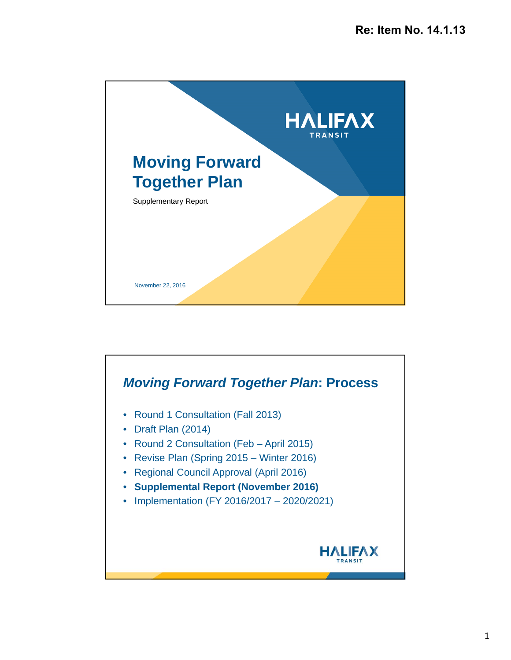

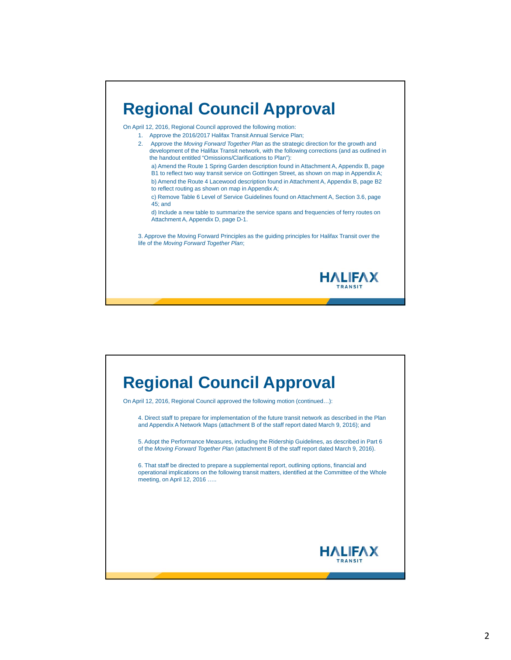## **Regional Council Approval**

On April 12, 2016, Regional Council approved the following motion:

1. Approve the 2016/2017 Halifax Transit Annual Service Plan;

- 2. Approve the *Moving Forward Together Plan* as the strategic direction for the growth and development of the Halifax Transit network, with the following corrections (and as outlined in the handout entitled "Omissions/Clarifications to Plan"):
	- a) Amend the Route 1 Spring Garden description found in Attachment A, Appendix B, page B1 to reflect two way transit service on Gottingen Street, as shown on map in Appendix A;
	- b) Amend the Route 4 Lacewood description found in Attachment A, Appendix B, page B2 to reflect routing as shown on map in Appendix A;
	- c) Remove Table 6 Level of Service Guidelines found on Attachment A, Section 3.6, page 45; and

d) Include a new table to summarize the service spans and frequencies of ferry routes on Attachment A, Appendix D, page D-1.

3. Approve the Moving Forward Principles as the guiding principles for Halifax Transit over the life of the *Moving Forward Together Plan*;



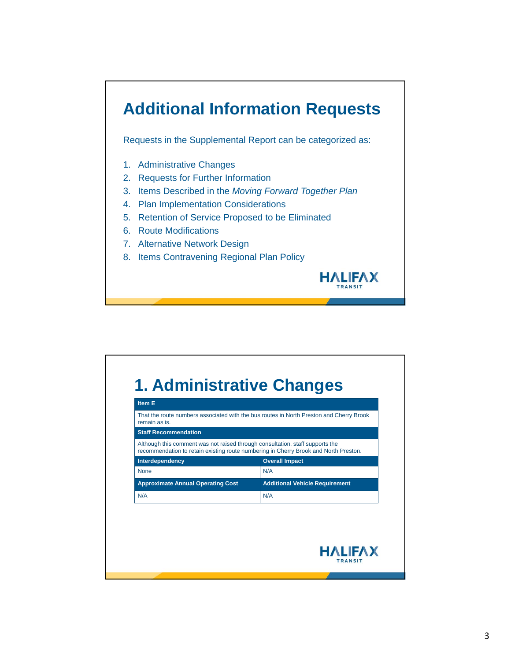## **Additional Information Requests**

Requests in the Supplemental Report can be categorized as:

- 1. Administrative Changes
- 2. Requests for Further Information
- 3. Items Described in the *Moving Forward Together Plan*

**HALIFAX TRANSIT** 

- 4. Plan Implementation Considerations
- 5. Retention of Service Proposed to be Eliminated
- 6. Route Modifications
- 7. Alternative Network Design
- 8. Items Contravening Regional Plan Policy

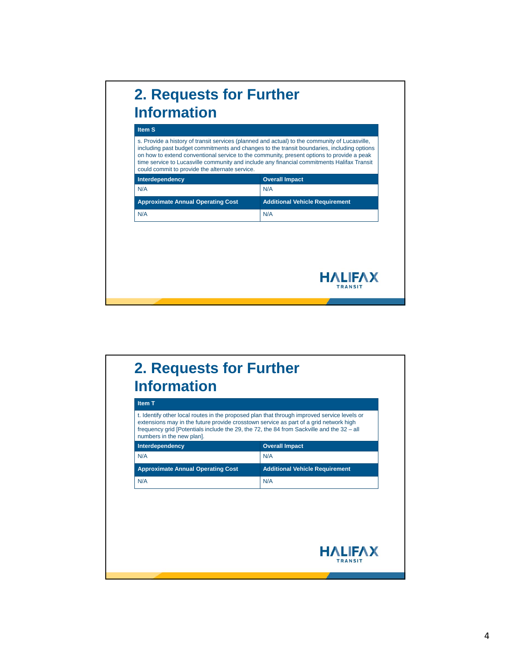

#### **2. Requests for Further Information Item T** t. Identify other local routes in the proposed plan that through improved service levels or extensions may in the future provide crosstown service as part of a grid network high frequency grid [Potentials include the 29, the 72, the 84 from Sackville and the 32 – all numbers in the new plan]. **Interdependency COVER IMPACT COVER IMPACT** N/A N/A Approximate Annual Operating Cost Additional Vehicle Requirement N/A N/A**HALIFAX TRANSIT**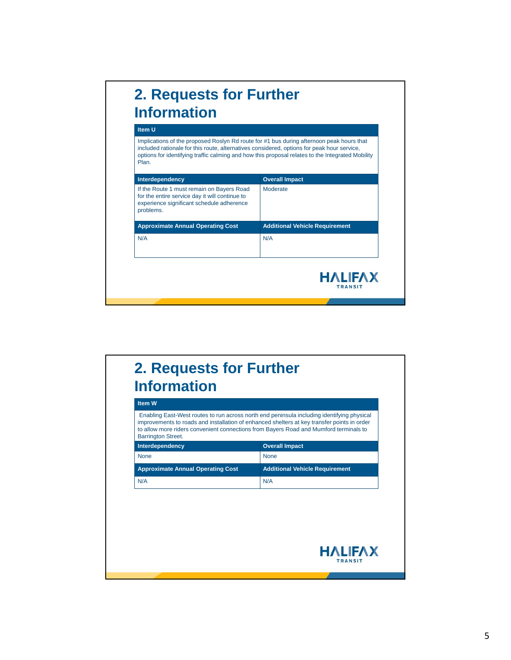

### **2. Requests for Further Information Item W** Enabling East-West routes to run across north end peninsula including identifying physical improvements to roads and installation of enhanced shelters at key transfer points in order to allow more riders convenient connections from Bayers Road and Mumford terminals to Barrington Street. **Interdependency COVER IMPACT COVER IMPACT** None None None Approximate Annual Operating Cost Additional Vehicle Requirement N/A N/A**HALIFAX TRANSIT**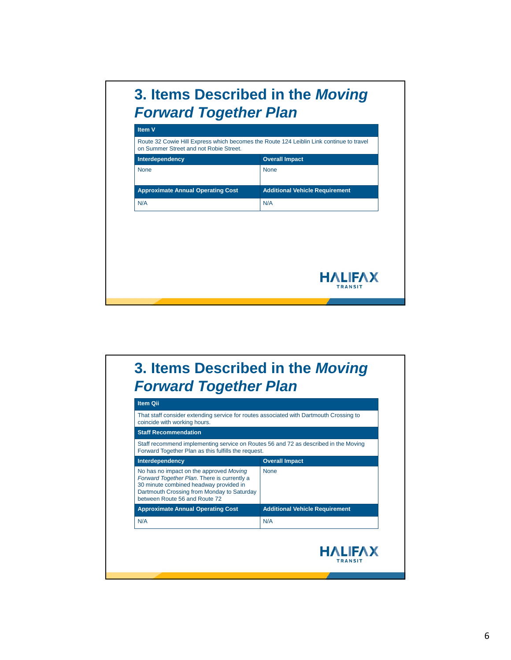# **3. Items Described in the** *Moving Forward Together Plan*

| Route 32 Cowie Hill Express which becomes the Route 124 Leiblin Link continue to travel<br>on Summer Street and not Robie Street.<br><b>Overall Impact</b><br>Interdependency<br><b>None</b><br><b>None</b> |
|-------------------------------------------------------------------------------------------------------------------------------------------------------------------------------------------------------------|
|                                                                                                                                                                                                             |
|                                                                                                                                                                                                             |
|                                                                                                                                                                                                             |
| <b>Approximate Annual Operating Cost</b><br><b>Additional Vehicle Requirement</b>                                                                                                                           |
| N/A<br>N/A                                                                                                                                                                                                  |

## **3. Items Described in the** *Moving Forward Together Plan*

| That staff consider extending service for routes associated with Dartmouth Crossing to<br>coincide with working hours.                                                                                          |                                       |
|-----------------------------------------------------------------------------------------------------------------------------------------------------------------------------------------------------------------|---------------------------------------|
| <b>Staff Recommendation</b>                                                                                                                                                                                     |                                       |
| Staff recommend implementing service on Routes 56 and 72 as described in the Moving<br>Forward Together Plan as this fulfills the request.                                                                      |                                       |
| Interdependency                                                                                                                                                                                                 | <b>Overall Impact</b>                 |
| No has no impact on the approved Moving<br>Forward Together Plan. There is currently a<br>30 minute combined headway provided in<br>Dartmouth Crossing from Monday to Saturday<br>between Route 56 and Route 72 | <b>None</b>                           |
| <b>Approximate Annual Operating Cost</b>                                                                                                                                                                        | <b>Additional Vehicle Requirement</b> |
| N/A                                                                                                                                                                                                             | N/A                                   |
|                                                                                                                                                                                                                 | <b>HALIFAX</b><br><b>TRANSIT</b>      |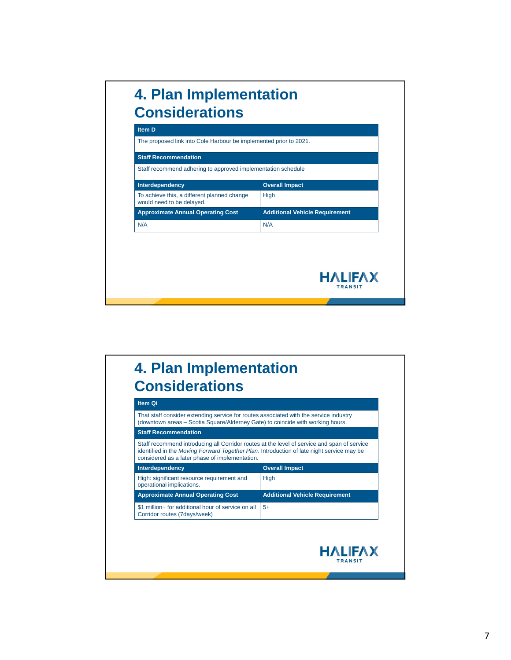# **4. Plan Implementation Considerations**

| <b>Staff Recommendation</b><br>Staff recommend adhering to approved implementation schedule |                                       |
|---------------------------------------------------------------------------------------------|---------------------------------------|
| Interdependency                                                                             | <b>Overall Impact</b>                 |
| To achieve this, a different planned change<br>would need to be delayed.                    | <b>High</b>                           |
| <b>Approximate Annual Operating Cost</b>                                                    | <b>Additional Vehicle Requirement</b> |
| N/A                                                                                         | N/A                                   |
|                                                                                             | <b>HALIFAX</b>                        |

### **4. Plan Implementation Considerations**

| (downtown areas – Scotia Square/Alderney Gate) to coincide with working hours.                                                                                                                                                             |                                       |
|--------------------------------------------------------------------------------------------------------------------------------------------------------------------------------------------------------------------------------------------|---------------------------------------|
| <b>Staff Recommendation</b>                                                                                                                                                                                                                |                                       |
| Staff recommend introducing all Corridor routes at the level of service and span of service<br>identified in the Moving Forward Together Plan. Introduction of late night service may be<br>considered as a later phase of implementation. |                                       |
| Interdependency                                                                                                                                                                                                                            | <b>Overall Impact</b>                 |
| High: significant resource requirement and<br>operational implications.                                                                                                                                                                    | High                                  |
| <b>Approximate Annual Operating Cost</b>                                                                                                                                                                                                   | <b>Additional Vehicle Requirement</b> |
| \$1 million+ for additional hour of service on all<br>Corridor routes (7days/week)                                                                                                                                                         | $5+$                                  |
|                                                                                                                                                                                                                                            |                                       |
|                                                                                                                                                                                                                                            |                                       |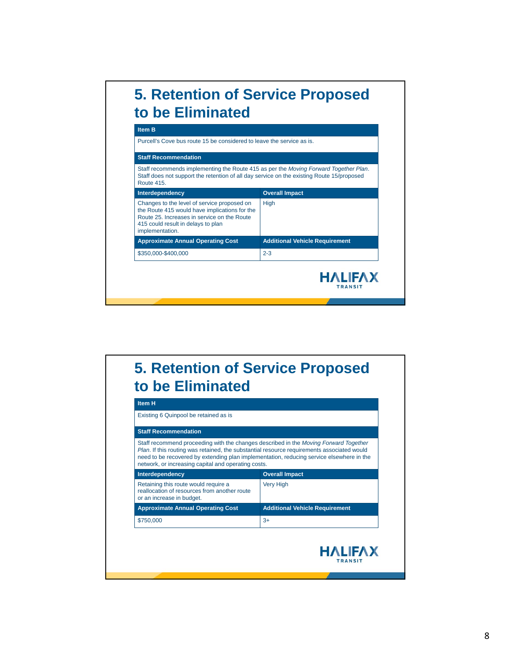#### **5. Retention of Service Proposed to be Eliminated Item B** Purcell's Cove bus route 15 be considered to leave the service as is. **Staff Recommendation** Staff recommends implementing the Route 415 as per the *Moving Forward Together Plan*. Staff does not support the retention of all day service on the existing Route 15/proposed Route 415. **Interdependency COVER IMPACT COVER IMPACT** Changes to the level of service proposed on High the Route 415 would have implications for the Route 25. Increases in service on the Route 415 could result in delays to plan implementation. **Approximate Annual Operating Cost Additional Vehicle Requirement** \$350,000-\$400,000 2-3 **HALIFAX TRANSIT**

### **5. Retention of Service Proposed to be Eliminated**

| Existing 6 Quinpool be retained as is                                                                                                                                                                                                                                                                                                        |                                       |
|----------------------------------------------------------------------------------------------------------------------------------------------------------------------------------------------------------------------------------------------------------------------------------------------------------------------------------------------|---------------------------------------|
| <b>Staff Recommendation</b>                                                                                                                                                                                                                                                                                                                  |                                       |
| Staff recommend proceeding with the changes described in the <i>Moving Forward Together</i><br>Plan. If this routing was retained, the substantial resource requirements associated would<br>need to be recovered by extending plan implementation, reducing service elsewhere in the<br>network, or increasing capital and operating costs. |                                       |
| Interdependency                                                                                                                                                                                                                                                                                                                              | <b>Overall Impact</b>                 |
| Retaining this route would require a<br>reallocation of resources from another route<br>or an increase in budget.                                                                                                                                                                                                                            | <b>Very High</b>                      |
| <b>Approximate Annual Operating Cost</b>                                                                                                                                                                                                                                                                                                     | <b>Additional Vehicle Requirement</b> |
| \$750,000                                                                                                                                                                                                                                                                                                                                    | $3+$                                  |
|                                                                                                                                                                                                                                                                                                                                              |                                       |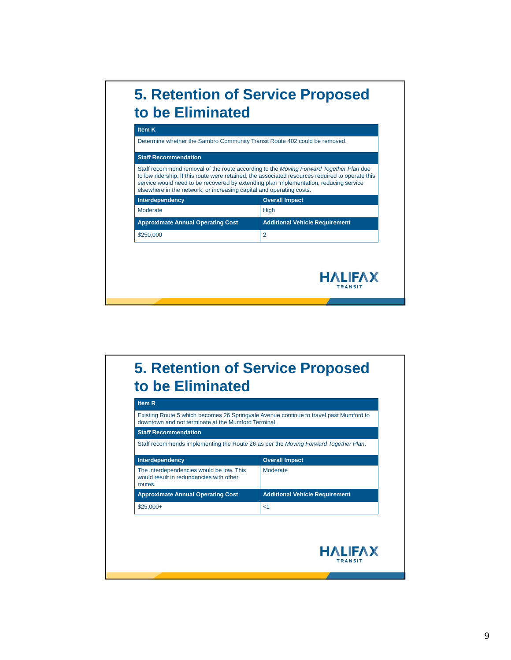

### **5. Retention of Service Proposed to be Eliminated**

| Staff recommends implementing the Route 26 as per the Moving Forward Together Plan. |
|-------------------------------------------------------------------------------------|
|                                                                                     |
|                                                                                     |
| <b>Additional Vehicle Requirement</b>                                               |
|                                                                                     |
|                                                                                     |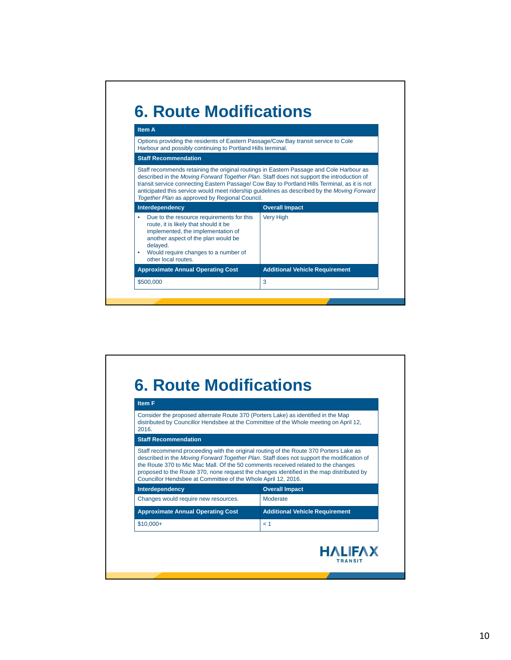

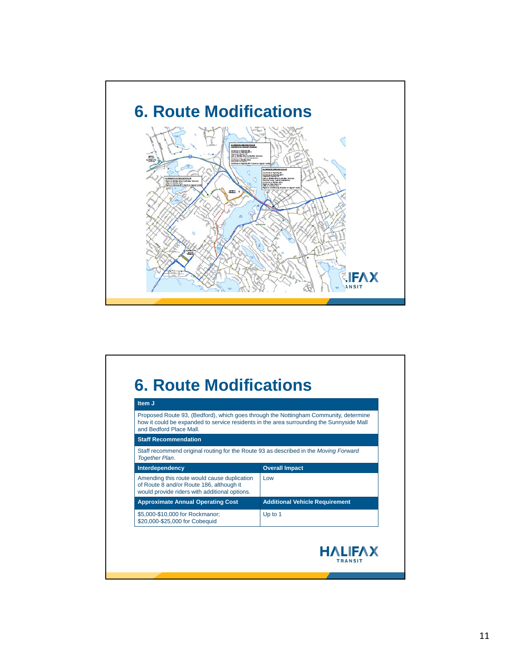

#### **6. Route Modifications Item J** Proposed Route 93, (Bedford), which goes through the Nottingham Community, determine how it could be expanded to service residents in the area surrounding the Sunnyside Mall and Bedford Place Mall. **Staff Recommendation** Staff recommend original routing for the Route 93 as described in the *Moving Forward Together Plan*. **Interdependency COVER IMPACT COVER IMPACT** Amending this route would cause duplication Low of Route 8 and/or Route 186, although it would provide riders with additional options. **Approximate Annual Operating Cost Additional Vehicle Requirement** \$5,000-\$10,000 for Rockmanor; Up to 1\$20,000-\$25,000 for Cobequid **HALIFAX** TRANSIT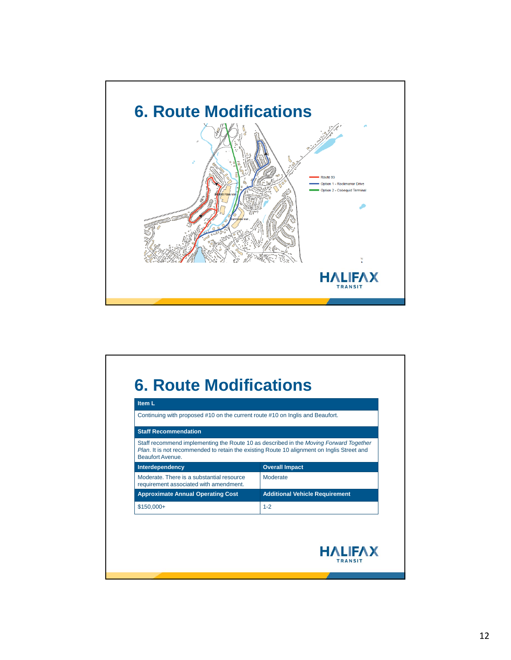

| Continuing with proposed #10 on the current route #10 on Inglis and Beaufort.                                         |                                                                                       |
|-----------------------------------------------------------------------------------------------------------------------|---------------------------------------------------------------------------------------|
| <b>Staff Recommendation</b>                                                                                           |                                                                                       |
| <i>Plan.</i> It is not recommended to retain the existing Route 10 alignment on Inglis Street and<br>Beaufort Avenue. | Staff recommend implementing the Route 10 as described in the Moving Forward Together |
| Interdependency                                                                                                       | <b>Overall Impact</b>                                                                 |
| Moderate. There is a substantial resource<br>requirement associated with amendment.                                   | Moderate                                                                              |
| <b>Approximate Annual Operating Cost</b>                                                                              | <b>Additional Vehicle Requirement</b>                                                 |
| $$150,000+$                                                                                                           | $1 - 2$                                                                               |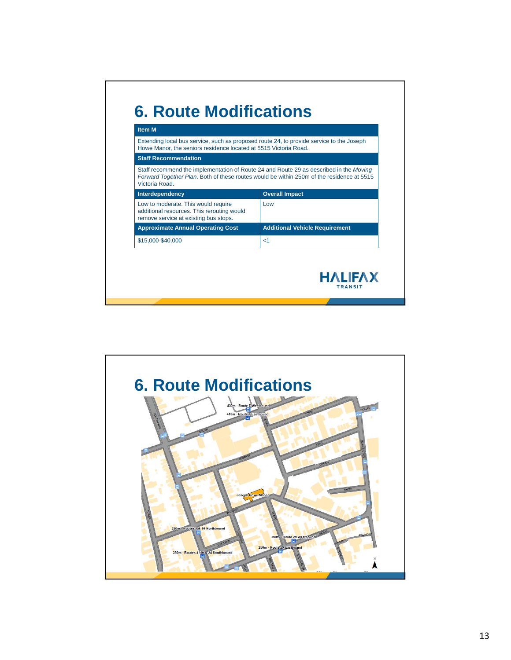| Howe Manor, the seniors residence located at 5515 Victoria Road.                                                           | Extending local bus service, such as proposed route 24, to provide service to the Joseph                                                                                            |
|----------------------------------------------------------------------------------------------------------------------------|-------------------------------------------------------------------------------------------------------------------------------------------------------------------------------------|
| <b>Staff Recommendation</b>                                                                                                |                                                                                                                                                                                     |
| Victoria Road                                                                                                              | Staff recommend the implementation of Route 24 and Route 29 as described in the Moving<br>Forward Together Plan. Both of these routes would be within 250m of the residence at 5515 |
| Interdependency                                                                                                            | <b>Overall Impact</b>                                                                                                                                                               |
| Low to moderate. This would require<br>additional resources. This rerouting would<br>remove service at existing bus stops. | Low                                                                                                                                                                                 |
| <b>Approximate Annual Operating Cost</b>                                                                                   | <b>Additional Vehicle Requirement</b>                                                                                                                                               |
| \$15,000-\$40,000                                                                                                          | $<$ 1                                                                                                                                                                               |

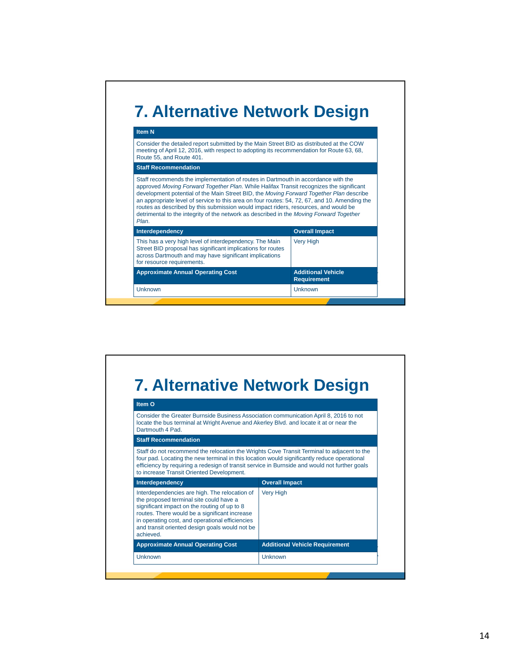

| Item O                                                                                                                                                                                                                                                                                                     |                                                                                               |
|------------------------------------------------------------------------------------------------------------------------------------------------------------------------------------------------------------------------------------------------------------------------------------------------------------|-----------------------------------------------------------------------------------------------|
| Consider the Greater Burnside Business Association communication April 8, 2016 to not<br>locate the bus terminal at Wright Avenue and Akerley Blvd. and locate it at or near the<br>Dartmouth 4 Pad.                                                                                                       |                                                                                               |
| <b>Staff Recommendation</b>                                                                                                                                                                                                                                                                                |                                                                                               |
| Staff do not recommend the relocation the Wrights Cove Transit Terminal to adjacent to the<br>four pad. Locating the new terminal in this location would significantly reduce operational                                                                                                                  |                                                                                               |
| to increase Transit Oriented Development.                                                                                                                                                                                                                                                                  | efficiency by requiring a redesign of transit service in Burnside and would not further goals |
| Interdependency                                                                                                                                                                                                                                                                                            | <b>Overall Impact</b>                                                                         |
| Interdependencies are high. The relocation of<br>the proposed terminal site could have a<br>significant impact on the routing of up to 8<br>routes. There would be a significant increase<br>in operating cost, and operational efficiencies<br>and transit oriented design goals would not be<br>achieved | <b>Very High</b>                                                                              |
| <b>Approximate Annual Operating Cost</b>                                                                                                                                                                                                                                                                   | <b>Additional Vehicle Requirement</b>                                                         |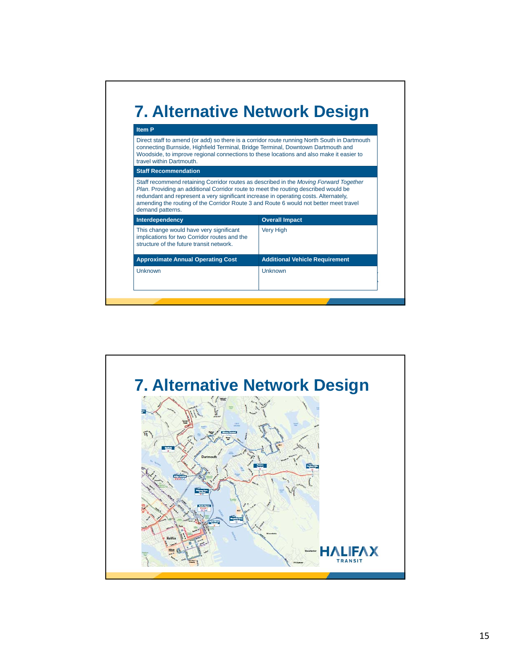

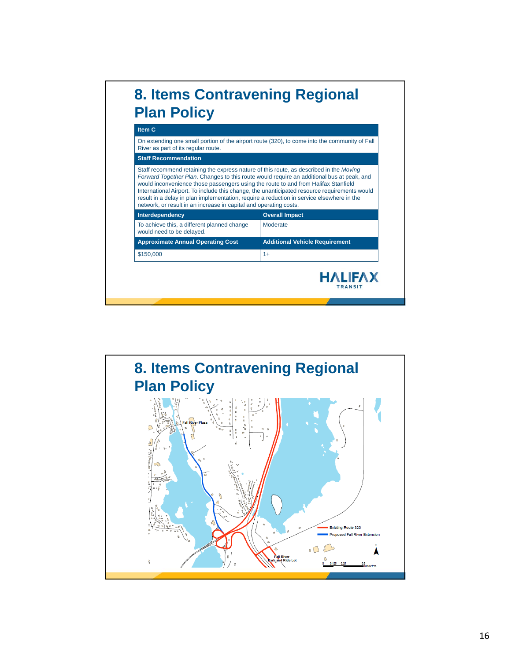

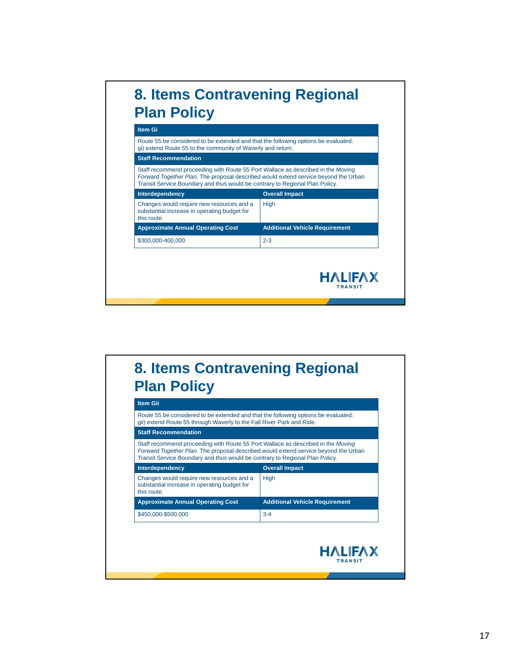

#### **8. Items Contravening Regional Plan Policy**

| <b>Staff Recommendation</b>                                                                                                                                                                                                                             |                                       |
|---------------------------------------------------------------------------------------------------------------------------------------------------------------------------------------------------------------------------------------------------------|---------------------------------------|
| Staff recommend proceeding with Route 55 Port Wallace as described in the Moving<br>Forward Together Plan. The proposal described would extend service beyond the Urban<br>Transit Service Boundary and thus would be contrary to Regional Plan Policy. |                                       |
| Interdependency                                                                                                                                                                                                                                         | <b>Overall Impact</b>                 |
| Changes would require new resources and a<br>substantial increase in operating budget for<br>this route                                                                                                                                                 | <b>High</b>                           |
| <b>Approximate Annual Operating Cost</b>                                                                                                                                                                                                                | <b>Additional Vehicle Requirement</b> |
| \$450,000-\$500,000                                                                                                                                                                                                                                     | $3 - 4$                               |
|                                                                                                                                                                                                                                                         |                                       |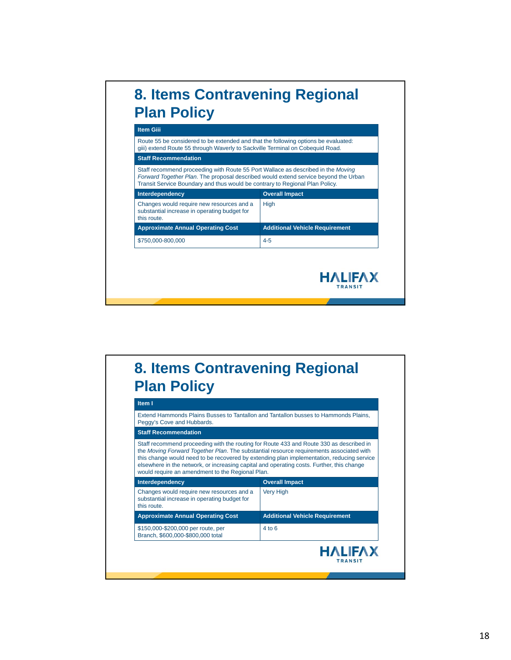

### **8. Items Contravening Regional Plan Policy**

| Peggy's Cove and Hubbards.                                                                                                                                                                                                                                                                                                                                                                                                       |                                       |
|----------------------------------------------------------------------------------------------------------------------------------------------------------------------------------------------------------------------------------------------------------------------------------------------------------------------------------------------------------------------------------------------------------------------------------|---------------------------------------|
| <b>Staff Recommendation</b>                                                                                                                                                                                                                                                                                                                                                                                                      |                                       |
| Staff recommend proceeding with the routing for Route 433 and Route 330 as described in<br>the Moving Forward Together Plan. The substantial resource requirements associated with<br>this change would need to be recovered by extending plan implementation, reducing service<br>elsewhere in the network, or increasing capital and operating costs. Further, this change<br>would require an amendment to the Regional Plan. |                                       |
| Interdependency                                                                                                                                                                                                                                                                                                                                                                                                                  | <b>Overall Impact</b>                 |
|                                                                                                                                                                                                                                                                                                                                                                                                                                  |                                       |
| Changes would require new resources and a<br>substantial increase in operating budget for<br>this route                                                                                                                                                                                                                                                                                                                          | <b>Very High</b>                      |
| <b>Approximate Annual Operating Cost</b>                                                                                                                                                                                                                                                                                                                                                                                         | <b>Additional Vehicle Requirement</b> |
| \$150,000-\$200,000 per route, per<br>Branch, \$600,000-\$800,000 total                                                                                                                                                                                                                                                                                                                                                          | $4$ to $6$                            |